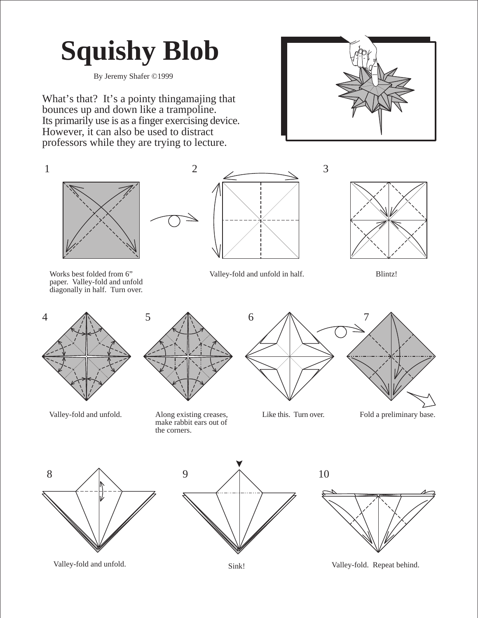## **Squishy Blob**

By Jeremy Shafer ©1999

What's that? It's a pointy thingamajing that bounces up and down like a trampoline. Its primarily use is as a finger exercising device. However, it can also be used to distract professors while they are trying to lecture.





Works best folded from 6" paper. Valley-fold and unfold diagonally in half. Turn over.





2

Valley-fold and unfold. Along existing creases, make rabbit ears out of the corners.

Valley-fold and unfold in half. Blintz! 4 1 5 1 6 1 7





Like this. Turn over. Fold a preliminary base.







Valley-fold and unfold. Sink! Sink! Valley-fold. Repeat behind.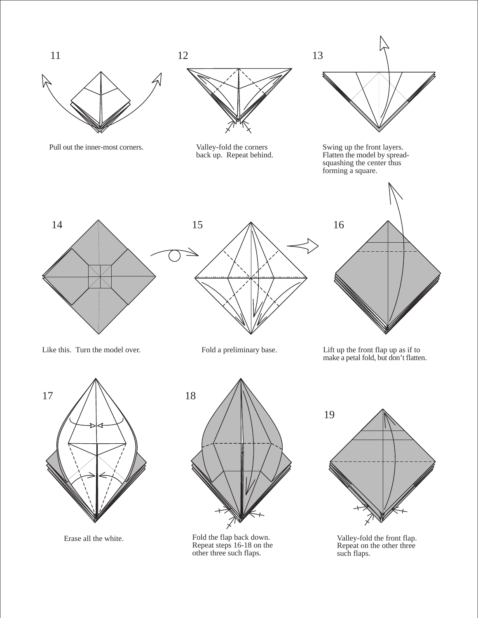





Erase all the white. Fold the flap back down. Repeat steps 16-18 on the other three such flaps.



Valley-fold the front flap. Repeat on the other three such flaps.